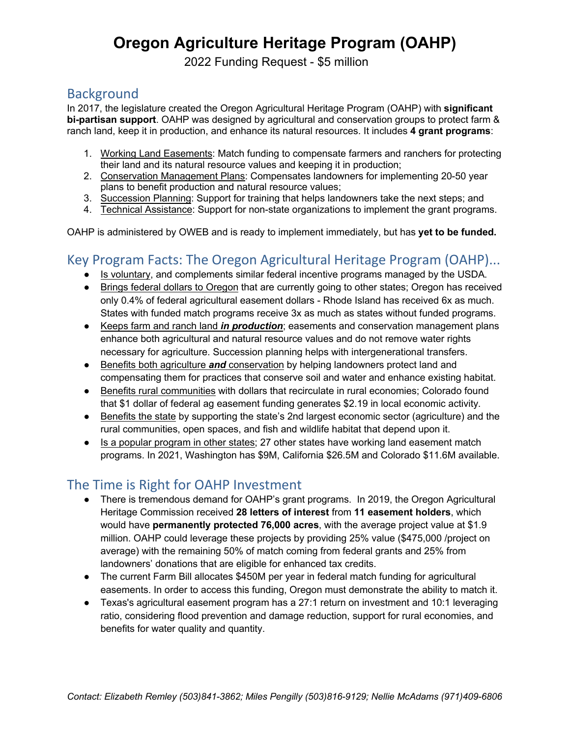# **Oregon Agriculture Heritage Program (OAHP)**

2022 Funding Request - \$5 million

### **Background**

In 2017, the legislature created the Oregon Agricultural Heritage Program (OAHP) with **significant bi-partisan support**. OAHP was designed by agricultural and conservation groups to protect farm & ranch land, keep it in production, and enhance its natural resources. It includes **4 grant programs**:

- 1. Working Land Easements: Match funding to compensate farmers and ranchers for protecting their land and its natural resource values and keeping it in production;
- 2. Conservation Management Plans: Compensates landowners for implementing 20-50 year plans to benefit production and natural resource values;
- 3. Succession Planning: Support for training that helps landowners take the next steps; and
- 4. Technical Assistance: Support for non-state organizations to implement the grant programs.

OAHP is administered by OWEB and is ready to implement immediately, but has **yet to be funded.**

## Key Program Facts: The Oregon Agricultural Heritage Program (OAHP)...

- Is voluntary, and complements similar federal incentive programs managed by the USDA.
- Brings federal dollars to Oregon that are currently going to other states; Oregon has received only 0.4% of federal agricultural easement dollars - Rhode Island has received 6x as much. States with funded match programs receive 3x as much as states without funded programs.
- Keeps farm and ranch land *in production*; easements and conservation management plans enhance both agricultural and natural resource values and do not remove water rights necessary for agriculture. Succession planning helps with intergenerational transfers.
- Benefits both agriculture **and** conservation by helping landowners protect land and compensating them for practices that conserve soil and water and enhance existing habitat.
- Benefits rural communities with dollars that recirculate in rural economies; Colorado found that \$1 dollar of federal ag easement funding generates \$2.19 in local economic activity.
- Benefits the state by supporting the state's 2nd largest economic sector (agriculture) and the rural communities, open spaces, and fish and wildlife habitat that depend upon it.
- Is a popular program in other states; 27 other states have working land easement match programs. In 2021, Washington has \$9M, California \$26.5M and Colorado \$11.6M available.

### The Time is Right for OAHP Investment

- There is tremendous demand for OAHP's grant programs. In 2019, the Oregon Agricultural Heritage Commission received **28 letters of interest** from **11 easement holders**, which would have **permanently protected 76,000 acres**, with the average project value at \$1.9 million. OAHP could leverage these projects by providing 25% value (\$475,000 /project on average) with the remaining 50% of match coming from federal grants and 25% from landowners' donations that are eligible for enhanced tax credits.
- The current Farm Bill allocates \$450M per year in federal match funding for agricultural easements. In order to access this funding, Oregon must demonstrate the ability to match it.
- Texas's agricultural easement program has a 27:1 return on investment and 10:1 leveraging ratio, considering flood prevention and damage reduction, support for rural economies, and benefits for water quality and quantity.